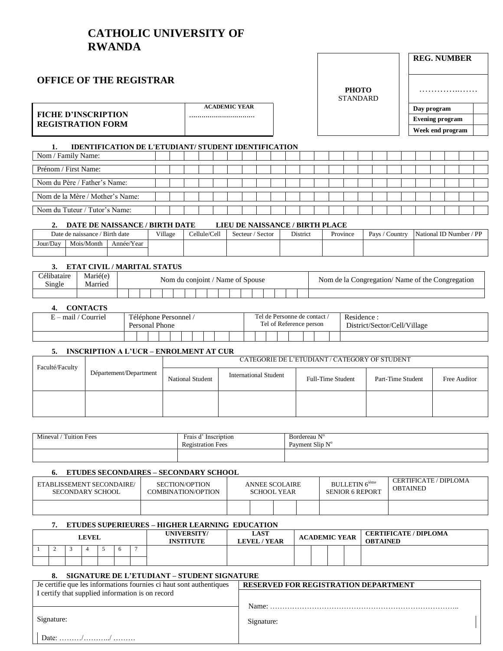### **CATHOLIC UNIVERSITY OF RWANDA**

### **OFFICE OF THE REGISTRAR**

**FICHE D'INSCRIPTION REGISTRATION FORM** 

| <b>ACADEMIC YEAR</b> |  |
|----------------------|--|
|                      |  |

| PHOTO           |  |
|-----------------|--|
| <b>STANDARD</b> |  |

| <b>REG. NUMBER</b>     |  |
|------------------------|--|
|                        |  |
| Day program            |  |
| <b>Evening program</b> |  |
| Week end program       |  |

#### $1.$ IDENTIFICATION DE L'ETUDIANT/ STUDENT IDENTIFICATION

| Nom / Family Name:              |  |  |  |  |  |  |  |  |  |  |  |  |
|---------------------------------|--|--|--|--|--|--|--|--|--|--|--|--|
| Prénom / First Name:            |  |  |  |  |  |  |  |  |  |  |  |  |
| Nom du Père / Father's Name:    |  |  |  |  |  |  |  |  |  |  |  |  |
| Nom de la Mère / Mother's Name: |  |  |  |  |  |  |  |  |  |  |  |  |
| Nom du Tuteur / Tutor's Name:   |  |  |  |  |  |  |  |  |  |  |  |  |

#### 2. DATE DE NAISSANCE / BIRTH DATE LIEU DE NAISSANCE / BIRTH PLACE

|          | Date de naissance | Birth date | Village | Cellule/Cell | Sector<br>Secteur / | District | Province | Pays<br>Countr <sup>1</sup> | / DD<br>National ID Number / |
|----------|-------------------|------------|---------|--------------|---------------------|----------|----------|-----------------------------|------------------------------|
| Jour/Day | Mois/Month        | Année/Year |         |              |                     |          |          |                             |                              |
|          |                   |            |         |              |                     |          |          |                             |                              |

#### 3. ETAT CIVIL / MARITAL STATUS

| <i>c</i> élibataire<br>Single | Marié(e)<br>Married |  |  | Nom du conjoint / Name of Spouse |  |  |  |  |  | Nom de la Congregation/Name of the Congregation |
|-------------------------------|---------------------|--|--|----------------------------------|--|--|--|--|--|-------------------------------------------------|
|                               |                     |  |  |                                  |  |  |  |  |  |                                                 |

#### 4. CONTACTS

| mail.<br>`ourriel | Téléphone Personnel<br>Personal | Phone |  |  |  |  |  | l'el de Personne de contact<br>Fel of Reference person |  | Residence<br>District/Sector/Cell/Village |
|-------------------|---------------------------------|-------|--|--|--|--|--|--------------------------------------------------------|--|-------------------------------------------|
|                   |                                 |       |  |  |  |  |  |                                                        |  |                                           |

#### 5. INSCRIPTION A L'UCR – ENROLMENT AT CUR

| Faculté/Faculty |                        |                         | CATEGORIE DE L'ETUDIANT / CATEGORY OF STUDENT |                          |                   |              |  |  |  |  |  |  |  |
|-----------------|------------------------|-------------------------|-----------------------------------------------|--------------------------|-------------------|--------------|--|--|--|--|--|--|--|
|                 | Département/Department | <b>National Student</b> | <b>International Student</b>                  | <b>Full-Time Student</b> | Part-Time Student | Free Auditor |  |  |  |  |  |  |  |
|                 |                        |                         |                                               |                          |                   |              |  |  |  |  |  |  |  |

| $\sim$<br>$\sim$<br>Mineval<br>Tuition Fees | Frais Q<br>Inscription<br>Registration Fees | . $N^{\rm o}$<br>Bordereau<br>Payment Slip<br>N <sub>T</sub> C |
|---------------------------------------------|---------------------------------------------|----------------------------------------------------------------|
|                                             |                                             |                                                                |

#### 6. ETUDES SECONDAIRES - SECONDARY SCHOOL

| ETABLISSEMENT SECONDAIRE/<br>SECONDARY SCHOOL | SECTION/OPTION<br>COMBINATION/OPTION | <b>ANNEE SCOLAIRE</b><br><b>SCHOOL YEAR</b> |  | <b>BULLETIN</b> 6 <sup>ième</sup><br><b>SENIOR 6 REPORT</b> | CERTIFICATE / DIPLOMA<br>OBTAINED |
|-----------------------------------------------|--------------------------------------|---------------------------------------------|--|-------------------------------------------------------------|-----------------------------------|
|                                               |                                      |                                             |  |                                                             |                                   |

#### 7. ETUDES SUPERIEURES - HIGHER LEARNING EDUCATION

| <b>LEVEL</b> |  |  |  |              |  | UNIVERSITY/<br>INSTITUTE | <b>LAST</b><br><b>LEVEL / YEAR</b> |  | <b>ACADEMIC YEAR</b> | <b>CERTIFICATE / DIPLOMA</b><br><b>OBTAINED</b> |
|--------------|--|--|--|--------------|--|--------------------------|------------------------------------|--|----------------------|-------------------------------------------------|
|              |  |  |  | <sub>0</sub> |  |                          |                                    |  |                      |                                                 |
|              |  |  |  |              |  |                          |                                    |  |                      |                                                 |

#### 8. SIGNATURE DE L'ETUDIANT – STUDENT SIGNATURE

| Je certifie que les informations fournies ci haut sont authentiques | <b>RESERVED FOR REGISTRATION DEPARTMENT</b> |
|---------------------------------------------------------------------|---------------------------------------------|
| I certify that supplied information is on record                    |                                             |
|                                                                     | Name:                                       |
| Signature:                                                          | Signature:                                  |
| Date: //                                                            |                                             |